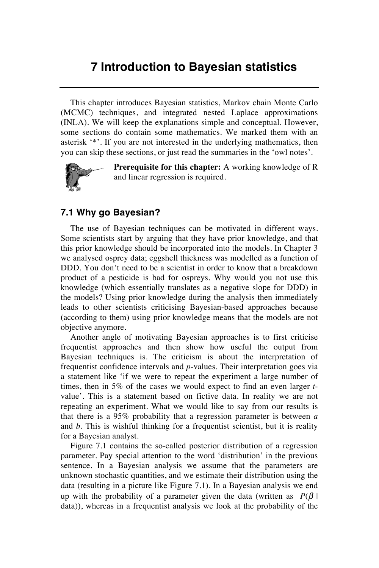## **7 Introduction to Bayesian statistics**

This chapter introduces Bayesian statistics, Markov chain Monte Carlo (MCMC) techniques, and integrated nested Laplace approximations (INLA). We will keep the explanations simple and conceptual. However, some sections do contain some mathematics. We marked them with an asterisk '\*'. If you are not interested in the underlying mathematics, then you can skip these sections, or just read the summaries in the 'owl notes'.



**Prerequisite for this chapter:** A working knowledge of R and linear regression is required.

## **7.1 Why go Bayesian?**

The use of Bayesian techniques can be motivated in different ways. Some scientists start by arguing that they have prior knowledge, and that this prior knowledge should be incorporated into the models. In Chapter 3 we analysed osprey data; eggshell thickness was modelled as a function of DDD. You don't need to be a scientist in order to know that a breakdown product of a pesticide is bad for ospreys. Why would you not use this knowledge (which essentially translates as a negative slope for DDD) in the models? Using prior knowledge during the analysis then immediately leads to other scientists criticising Bayesian-based approaches because (according to them) using prior knowledge means that the models are not objective anymore.

Another angle of motivating Bayesian approaches is to first criticise frequentist approaches and then show how useful the output from Bayesian techniques is. The criticism is about the interpretation of frequentist confidence intervals and *p*-values. Their interpretation goes via a statement like 'if we were to repeat the experiment a large number of times, then in 5% of the cases we would expect to find an even larger *t*value'. This is a statement based on fictive data. In reality we are not repeating an experiment. What we would like to say from our results is that there is a 95% probability that a regression parameter is between *a* and *b*. This is wishful thinking for a frequentist scientist, but it is reality for a Bayesian analyst.

Figure 7.1 contains the so-called posterior distribution of a regression parameter. Pay special attention to the word 'distribution' in the previous sentence. In a Bayesian analysis we assume that the parameters are unknown stochastic quantities, and we estimate their distribution using the data (resulting in a picture like Figure 7.1). In a Bayesian analysis we end up with the probability of a parameter given the data (written as  $P(\beta)$ ) data)), whereas in a frequentist analysis we look at the probability of the